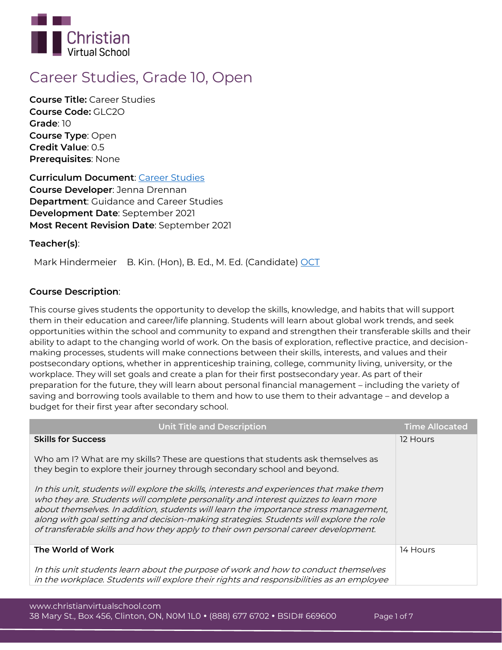

# **Career Studies, Grade 10, Open**

**Course Title:** Career Studies **Course Code:** GLC2O **Grade**: 10 **Course Type**: Open **Credit Value**: 0.5 **Prerequisites**: None

**Curriculum Document**: [Career Studies](http://www.edu.gov.on.ca/eng/curriculum/secondary/career-studies-grade10.pdf) **Course Developer**: Jenna Drennan **Department**: Guidance and Career Studies **Development Date**: September 2021 **Most Recent Revision Date**: September 2021

# **Teacher(s)**:

Mark Hindermeier B. Kin. (Hon), B. Ed., M. Ed. (Candidate) [OCT](https://apps.oct.ca/FindATeacher/memberdetail?id=596047)

# **Course Description**:

This course gives students the opportunity to develop the skills, knowledge, and habits that will support them in their education and career/life planning. Students will learn about global work trends, and seek opportunities within the school and community to expand and strengthen their transferable skills and their ability to adapt to the changing world of work. On the basis of exploration, reflective practice, and decisionmaking processes, students will make connections between their skills, interests, and values and their postsecondary options, whether in apprenticeship training, college, community living, university, or the workplace. They will set goals and create a plan for their first postsecondary year. As part of their preparation for the future, they will learn about personal financial management – including the variety of saving and borrowing tools available to them and how to use them to their advantage – and develop a budget for their first year after secondary school.

| <b>Unit Title and Description</b>                                                                                                                                                                                                                                                                                                                                                                                                                        | <b>Time Allocated</b> |
|----------------------------------------------------------------------------------------------------------------------------------------------------------------------------------------------------------------------------------------------------------------------------------------------------------------------------------------------------------------------------------------------------------------------------------------------------------|-----------------------|
| <b>Skills for Success</b>                                                                                                                                                                                                                                                                                                                                                                                                                                | 12 Hours              |
| Who am I? What are my skills? These are questions that students ask themselves as<br>they begin to explore their journey through secondary school and beyond.                                                                                                                                                                                                                                                                                            |                       |
| In this unit, students will explore the skills, interests and experiences that make them<br>who they are. Students will complete personality and interest quizzes to learn more<br>about themselves. In addition, students will learn the importance stress management,<br>along with goal setting and decision-making strategies. Students will explore the role<br>of transferable skills and how they apply to their own personal career development. |                       |
| The World of Work                                                                                                                                                                                                                                                                                                                                                                                                                                        | 14 Hours              |
| In this unit students learn about the purpose of work and how to conduct themselves<br>in the workplace. Students will explore their rights and responsibilities as an employee                                                                                                                                                                                                                                                                          |                       |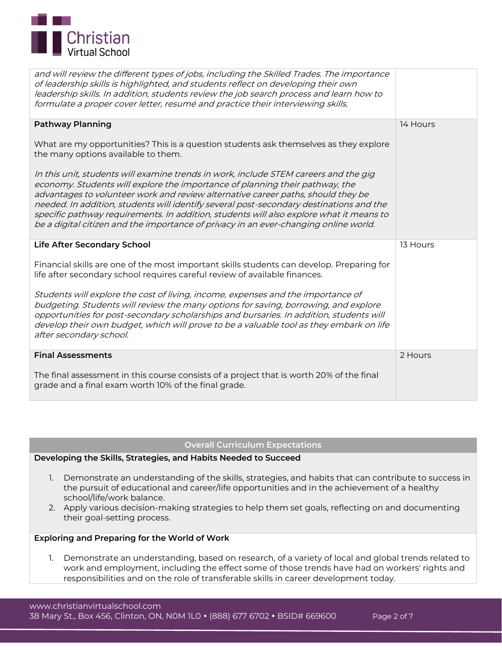

| and will review the different types of jobs, including the Skilled Trades. The importance<br>of leadership skills is highlighted, and students reflect on developing their own<br>leadership skills. In addition, students review the job search process and learn how to<br>formulate a proper cover letter, resumé and practice their interviewing skills.                                                                                                                                                                           |          |
|----------------------------------------------------------------------------------------------------------------------------------------------------------------------------------------------------------------------------------------------------------------------------------------------------------------------------------------------------------------------------------------------------------------------------------------------------------------------------------------------------------------------------------------|----------|
| <b>Pathway Planning</b>                                                                                                                                                                                                                                                                                                                                                                                                                                                                                                                | 14 Hours |
| What are my opportunities? This is a question students ask themselves as they explore<br>the many options available to them.                                                                                                                                                                                                                                                                                                                                                                                                           |          |
| In this unit, students will examine trends in work, include STEM careers and the gig<br>economy. Students will explore the importance of planning their pathway, the<br>advantages to volunteer work and review alternative career paths, should they be<br>needed. In addition, students will identify several post-secondary destinations and the<br>specific pathway requirements. In addition, students will also explore what it means to<br>be a digital citizen and the importance of privacy in an ever-changing online world. |          |
| <b>Life After Secondary School</b>                                                                                                                                                                                                                                                                                                                                                                                                                                                                                                     | 13 Hours |
| Financial skills are one of the most important skills students can develop. Preparing for<br>life after secondary school requires careful review of available finances.                                                                                                                                                                                                                                                                                                                                                                |          |
| Students will explore the cost of living, income, expenses and the importance of<br>budgeting. Students will review the many options for saving, borrowing, and explore<br>opportunities for post-secondary scholarships and bursaries. In addition, students will<br>develop their own budget, which will prove to be a valuable tool as they embark on life                                                                                                                                                                          |          |
| after secondary school.                                                                                                                                                                                                                                                                                                                                                                                                                                                                                                                |          |
| <b>Final Assessments</b>                                                                                                                                                                                                                                                                                                                                                                                                                                                                                                               | 2 Hours  |

## **Overall Curriculum Expectations**

## **Developing the Skills, Strategies, and Habits Needed to Succeed**

- **1.** Demonstrate an understanding of the skills, strategies, and habits that can contribute to success in the pursuit of educational and career/life opportunities and in the achievement of a healthy school/life/work balance.
- **2.** Apply various decision-making strategies to help them set goals, reflecting on and documenting their goal-setting process.

## **Exploring and Preparing for the World of Work**

**1.** Demonstrate an understanding, based on research, of a variety of local and global trends related to work and employment, including the effect some of those trends have had on workers' rights and responsibilities and on the role of transferable skills in career development today.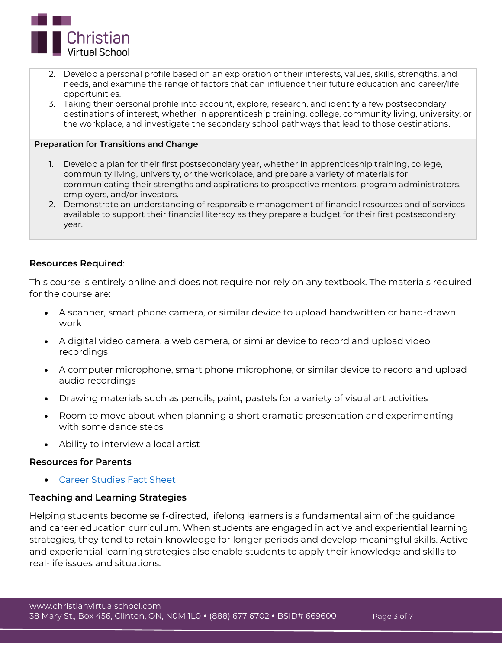

- 2. Develop a personal profile based on an exploration of their interests, values, skills, strengths, and needs, and examine the range of factors that can influence their future education and career/life opportunities.
- 3. Taking their personal profile into account, explore, research, and identify a few postsecondary destinations of interest, whether in apprenticeship training, college, community living, university, or the workplace, and investigate the secondary school pathways that lead to those destinations.

## **Preparation for Transitions and Change**

- **1.** Develop a plan for their first postsecondary year, whether in apprenticeship training, college, community living, university, or the workplace, and prepare a variety of materials for communicating their strengths and aspirations to prospective mentors, program administrators, employers, and/or investors.
- 2. Demonstrate an understanding of responsible management of financial resources and of services available to support their financial literacy as they prepare a budget for their first postsecondary year.

## **Resources Required**:

This course is entirely online and does not require nor rely on any textbook. The materials required for the course are:

- A scanner, smart phone camera, or similar device to upload handwritten or hand-drawn work
- A digital video camera, a web camera, or similar device to record and upload video recordings
- A computer microphone, smart phone microphone, or similar device to record and upload audio recordings
- Drawing materials such as pencils, paint, pastels for a variety of visual art activities
- Room to move about when planning a short dramatic presentation and experimenting with some dance steps
- Ability to interview a local artist

## **Resources for Parents**

[Career Studies Fact Sheet](http://edu.gov.on.ca/eng/curriculum/secondary/career-studies-fact-sheet.pdf)

# **Teaching and Learning Strategies**

Helping students become self-directed, lifelong learners is a fundamental aim of the guidance and career education curriculum. When students are engaged in active and experiential learning strategies, they tend to retain knowledge for longer periods and develop meaningful skills. Active and experiential learning strategies also enable students to apply their knowledge and skills to real-life issues and situations.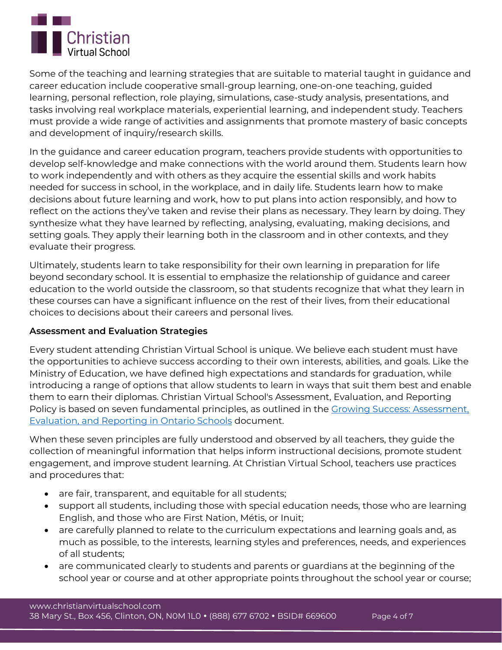

Some of the teaching and learning strategies that are suitable to material taught in guidance and career education include cooperative small-group learning, one-on-one teaching, guided learning, personal reflection, role playing, simulations, case-study analysis, presentations, and tasks involving real workplace materials, experiential learning, and independent study. Teachers must provide a wide range of activities and assignments that promote mastery of basic concepts and development of inquiry/research skills.

In the guidance and career education program, teachers provide students with opportunities to develop self-knowledge and make connections with the world around them. Students learn how to work independently and with others as they acquire the essential skills and work habits needed for success in school, in the workplace, and in daily life. Students learn how to make decisions about future learning and work, how to put plans into action responsibly, and how to reflect on the actions they've taken and revise their plans as necessary. They learn by doing. They synthesize what they have learned by reflecting, analysing, evaluating, making decisions, and setting goals. They apply their learning both in the classroom and in other contexts, and they evaluate their progress.

Ultimately, students learn to take responsibility for their own learning in preparation for life beyond secondary school. It is essential to emphasize the relationship of guidance and career education to the world outside the classroom, so that students recognize that what they learn in these courses can have a significant influence on the rest of their lives, from their educational choices to decisions about their careers and personal lives.

# **Assessment and Evaluation Strategies**

Every student attending Christian Virtual School is unique. We believe each student must have the opportunities to achieve success according to their own interests, abilities, and goals. Like the Ministry of Education, we have defined high expectations and standards for graduation, while introducing a range of options that allow students to learn in ways that suit them best and enable them to earn their diplomas. Christian Virtual School's Assessment, Evaluation, and Reporting Policy is based on seven fundamental principles, as outlined in the [Growing Success: Assessment,](http://www.edu.gov.on.ca/eng/policyfunding/growSuccess.pdf)  [Evaluation, and Reporting in Ontario Schools](http://www.edu.gov.on.ca/eng/policyfunding/growSuccess.pdf) document.

When these seven principles are fully understood and observed by all teachers, they guide the collection of meaningful information that helps inform instructional decisions, promote student engagement, and improve student learning. At Christian Virtual School, teachers use practices and procedures that:

- are fair, transparent, and equitable for all students;
- support all students, including those with special education needs, those who are learning English, and those who are First Nation, Métis, or Inuit;
- are carefully planned to relate to the curriculum expectations and learning goals and, as much as possible, to the interests, learning styles and preferences, needs, and experiences of all students;
- are communicated clearly to students and parents or guardians at the beginning of the school year or course and at other appropriate points throughout the school year or course;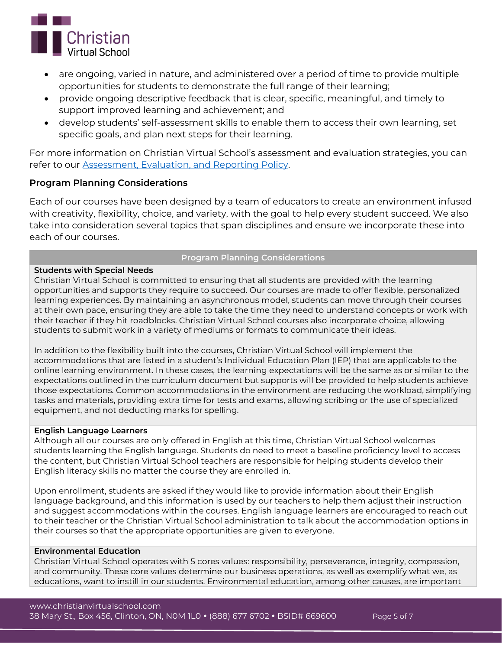

- are ongoing, varied in nature, and administered over a period of time to provide multiple opportunities for students to demonstrate the full range of their learning;
- provide ongoing descriptive feedback that is clear, specific, meaningful, and timely to support improved learning and achievement; and
- develop students' self-assessment skills to enable them to access their own learning, set specific goals, and plan next steps for their learning.

For more information on Christian Virtual School's assessment and evaluation strategies, you can refer to our [Assessment, Evaluation, and Reporting Policy.](https://www.christianvirtualschool.com/wp-content/uploads/2020/07/Assessment-Evaluation-and-Reporting.pdf)

# **Program Planning Considerations**

Each of our courses have been designed by a team of educators to create an environment infused with creativity, flexibility, choice, and variety, with the goal to help every student succeed. We also take into consideration several topics that span disciplines and ensure we incorporate these into each of our courses.

# **Program Planning Considerations**

## **Students with Special Needs**

Christian Virtual School is committed to ensuring that all students are provided with the learning opportunities and supports they require to succeed. Our courses are made to offer flexible, personalized learning experiences. By maintaining an asynchronous model, students can move through their courses at their own pace, ensuring they are able to take the time they need to understand concepts or work with their teacher if they hit roadblocks. Christian Virtual School courses also incorporate choice, allowing students to submit work in a variety of mediums or formats to communicate their ideas.

In addition to the flexibility built into the courses, Christian Virtual School will implement the accommodations that are listed in a student's Individual Education Plan (IEP) that are applicable to the online learning environment. In these cases, the learning expectations will be the same as or similar to the expectations outlined in the curriculum document but supports will be provided to help students achieve those expectations. Common accommodations in the environment are reducing the workload, simplifying tasks and materials, providing extra time for tests and exams, allowing scribing or the use of specialized equipment, and not deducting marks for spelling.

## **English Language Learners**

Although all our courses are only offered in English at this time, Christian Virtual School welcomes students learning the English language. Students do need to meet a baseline proficiency level to access the content, but Christian Virtual School teachers are responsible for helping students develop their English literacy skills no matter the course they are enrolled in.

Upon enrollment, students are asked if they would like to provide information about their English language background, and this information is used by our teachers to help them adjust their instruction and suggest accommodations within the courses. English language learners are encouraged to reach out to their teacher or the Christian Virtual School administration to talk about the accommodation options in their courses so that the appropriate opportunities are given to everyone.

## **Environmental Education**

Christian Virtual School operates with 5 cores values: responsibility, perseverance, integrity, compassion, and community. These core values determine our business operations, as well as exemplify what we, as educations, want to instill in our students. Environmental education, among other causes, are important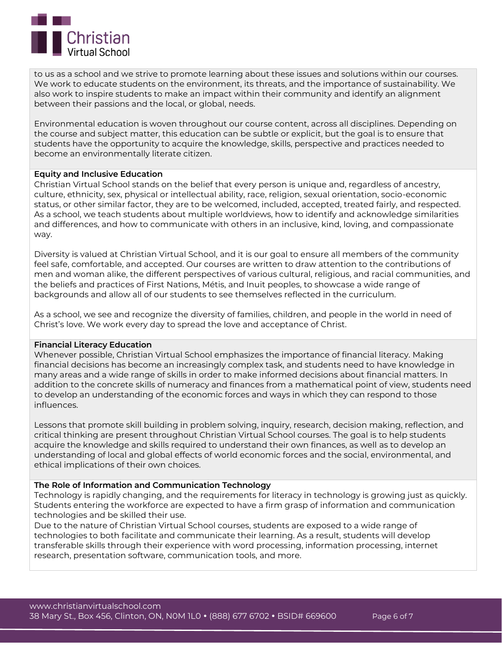

to us as a school and we strive to promote learning about these issues and solutions within our courses. We work to educate students on the environment, its threats, and the importance of sustainability. We also work to inspire students to make an impact within their community and identify an alignment between their passions and the local, or global, needs.

Environmental education is woven throughout our course content, across all disciplines. Depending on the course and subject matter, this education can be subtle or explicit, but the goal is to ensure that students have the opportunity to acquire the knowledge, skills, perspective and practices needed to become an environmentally literate citizen.

## **Equity and Inclusive Education**

Christian Virtual School stands on the belief that every person is unique and, regardless of ancestry, culture, ethnicity, sex, physical or intellectual ability, race, religion, sexual orientation, socio-economic status, or other similar factor, they are to be welcomed, included, accepted, treated fairly, and respected. As a school, we teach students about multiple worldviews, how to identify and acknowledge similarities and differences, and how to communicate with others in an inclusive, kind, loving, and compassionate way.

Diversity is valued at Christian Virtual School, and it is our goal to ensure all members of the community feel safe, comfortable, and accepted. Our courses are written to draw attention to the contributions of men and woman alike, the different perspectives of various cultural, religious, and racial communities, and the beliefs and practices of First Nations, Métis, and Inuit peoples, to showcase a wide range of backgrounds and allow all of our students to see themselves reflected in the curriculum.

As a school, we see and recognize the diversity of families, children, and people in the world in need of Christ's love. We work every day to spread the love and acceptance of Christ.

#### **Financial Literacy Education**

Whenever possible, Christian Virtual School emphasizes the importance of financial literacy. Making financial decisions has become an increasingly complex task, and students need to have knowledge in many areas and a wide range of skills in order to make informed decisions about financial matters. In addition to the concrete skills of numeracy and finances from a mathematical point of view, students need to develop an understanding of the economic forces and ways in which they can respond to those influences.

Lessons that promote skill building in problem solving, inquiry, research, decision making, reflection, and critical thinking are present throughout Christian Virtual School courses. The goal is to help students acquire the knowledge and skills required to understand their own finances, as well as to develop an understanding of local and global effects of world economic forces and the social, environmental, and ethical implications of their own choices.

#### **The Role of Information and Communication Technology**

Technology is rapidly changing, and the requirements for literacy in technology is growing just as quickly. Students entering the workforce are expected to have a firm grasp of information and communication technologies and be skilled their use.

Due to the nature of Christian Virtual School courses, students are exposed to a wide range of technologies to both facilitate and communicate their learning. As a result, students will develop transferable skills through their experience with word processing, information processing, internet research, presentation software, communication tools, and more.